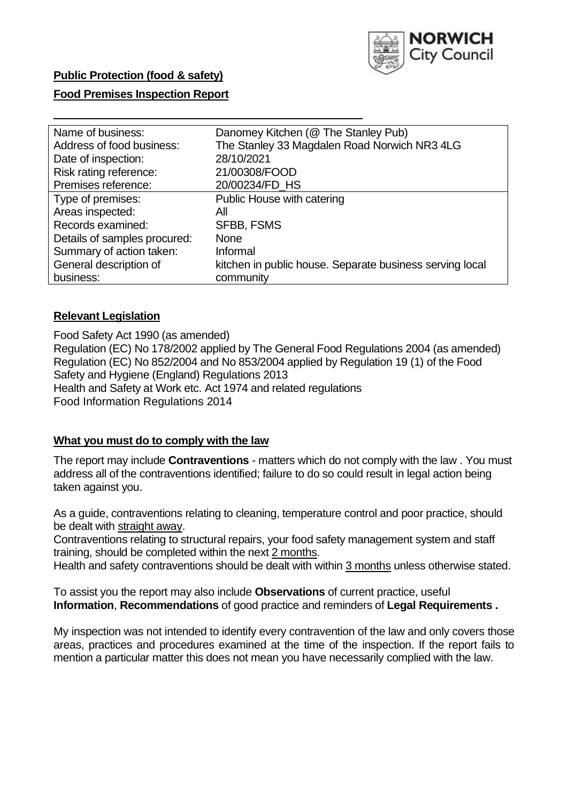

# **Public Protection (food & safety)**

### **Food Premises Inspection Report**

| Name of business:            | Danomey Kitchen (@ The Stanley Pub)                      |  |  |  |
|------------------------------|----------------------------------------------------------|--|--|--|
| Address of food business:    | The Stanley 33 Magdalen Road Norwich NR3 4LG             |  |  |  |
| Date of inspection:          | 28/10/2021                                               |  |  |  |
| Risk rating reference:       | 21/00308/FOOD                                            |  |  |  |
| Premises reference:          | 20/00234/FD HS                                           |  |  |  |
| Type of premises:            | Public House with catering                               |  |  |  |
| Areas inspected:             | All                                                      |  |  |  |
| Records examined:            | <b>SFBB, FSMS</b>                                        |  |  |  |
| Details of samples procured: | <b>None</b>                                              |  |  |  |
| Summary of action taken:     | Informal                                                 |  |  |  |
| General description of       | kitchen in public house. Separate business serving local |  |  |  |
| business:                    | community                                                |  |  |  |

### **Relevant Legislation**

 Food Safety Act 1990 (as amended) Regulation (EC) No 178/2002 applied by The General Food Regulations 2004 (as amended) Regulation (EC) No 852/2004 and No 853/2004 applied by Regulation 19 (1) of the Food Safety and Hygiene (England) Regulations 2013 Health and Safety at Work etc. Act 1974 and related regulations Food Information Regulations 2014

### **What you must do to comply with the law**

 The report may include **Contraventions** - matters which do not comply with the law . You must address all of the contraventions identified; failure to do so could result in legal action being taken against you.

 As a guide, contraventions relating to cleaning, temperature control and poor practice, should be dealt with straight away.

 Contraventions relating to structural repairs, your food safety management system and staff training, should be completed within the next 2 months.

Health and safety contraventions should be dealt with within 3 months unless otherwise stated.

 To assist you the report may also include **Observations** of current practice, useful **Information**, **Recommendations** of good practice and reminders of **Legal Requirements .** 

 My inspection was not intended to identify every contravention of the law and only covers those areas, practices and procedures examined at the time of the inspection. If the report fails to mention a particular matter this does not mean you have necessarily complied with the law.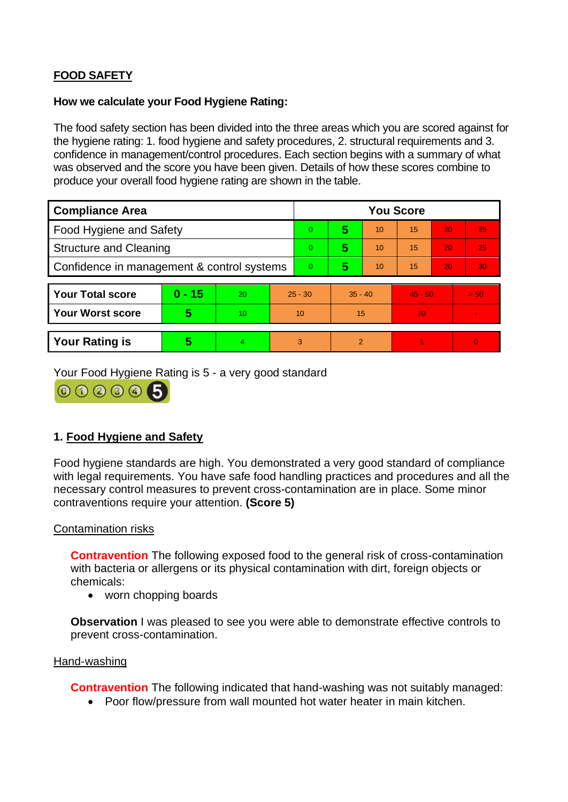# **FOOD SAFETY**

# **How we calculate your Food Hygiene Rating:**

 The food safety section has been divided into the three areas which you are scored against for the hygiene rating: 1. food hygiene and safety procedures, 2. structural requirements and 3. confidence in management/control procedures. Each section begins with a summary of what was observed and the score you have been given. Details of how these scores combine to produce your overall food hygiene rating are shown in the table.

| <b>Compliance Area</b>                     |          |                |                | <b>You Score</b> |                |    |           |    |                |  |  |
|--------------------------------------------|----------|----------------|----------------|------------------|----------------|----|-----------|----|----------------|--|--|
| <b>Food Hygiene and Safety</b>             |          |                |                | $\Omega$         | 5              | 10 | 15        | 20 | 25             |  |  |
| <b>Structure and Cleaning</b>              |          |                |                | $\overline{0}$   | 5              | 10 | 15        | 20 | 25             |  |  |
| Confidence in management & control systems |          |                | $\overline{0}$ | 5                | 10             | 15 | 20        | 30 |                |  |  |
|                                            |          |                |                |                  |                |    |           |    |                |  |  |
| <b>Your Total score</b>                    | $0 - 15$ | 20             | $25 - 30$      |                  | $35 - 40$      |    | $45 - 50$ |    | > 50           |  |  |
| <b>Your Worst score</b>                    | 5        | 10             | 10             |                  | 15             |    | 20        |    |                |  |  |
|                                            |          |                |                |                  |                |    |           |    |                |  |  |
| <b>Your Rating is</b>                      | 5        | $\overline{4}$ | 3              |                  | $\overline{2}$ |    |           |    | $\overline{0}$ |  |  |

Your Food Hygiene Rating is 5 - a very good standard



# **1. Food Hygiene and Safety**

 with legal requirements. You have safe food handling practices and procedures and all the Food hygiene standards are high. You demonstrated a very good standard of compliance necessary control measures to prevent cross-contamination are in place. Some minor contraventions require your attention. **(Score 5)** 

# Contamination risks

 with bacteria or allergens or its physical contamination with dirt, foreign objects or **Contravention** The following exposed food to the general risk of cross-contamination chemicals:

• worn chopping boards

**Observation** I was pleased to see you were able to demonstrate effective controls to prevent cross-contamination.

# Hand-washing

**Contravention** The following indicated that hand-washing was not suitably managed:

• Poor flow/pressure from wall mounted hot water heater in main kitchen.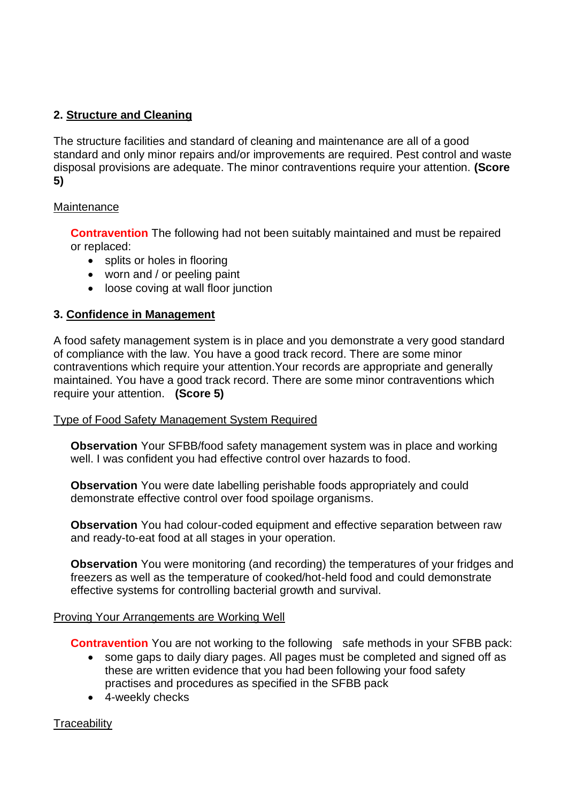# **2. Structure and Cleaning**

The structure facilities and standard of cleaning and maintenance are all of a good standard and only minor repairs and/or improvements are required. Pest control and waste disposal provisions are adequate. The minor contraventions require your attention. **(Score 5)** 

# **Maintenance**

**Contravention** The following had not been suitably maintained and must be repaired or replaced:

- splits or holes in flooring
- worn and / or peeling paint
- loose coving at wall floor junction

# **3. Confidence in Management**

 of compliance with the law. You have a good track record. There are some minor require your attention. **(Score 5)**  A food safety management system is in place and you demonstrate a very good standard contraventions which require your attention.Your records are appropriate and generally maintained. You have a good track record. There are some minor contraventions which

# Type of Food Safety Management System Required

**Observation** Your SFBB/food safety management system was in place and working well. I was confident you had effective control over hazards to food.

**Observation** You were date labelling perishable foods appropriately and could demonstrate effective control over food spoilage organisms.

**Observation** You had colour-coded equipment and effective separation between raw and ready-to-eat food at all stages in your operation.

 **Observation** You were monitoring (and recording) the temperatures of your fridges and freezers as well as the temperature of cooked/hot-held food and could demonstrate effective systems for controlling bacterial growth and survival.

# Proving Your Arrangements are Working Well

**Contravention** You are not working to the following safe methods in your SFBB pack:

- these are written evidence that you had been following your food safety • some gaps to daily diary pages. All pages must be completed and signed off as practises and procedures as specified in the SFBB pack
- 4-weekly checks

# **Traceability**